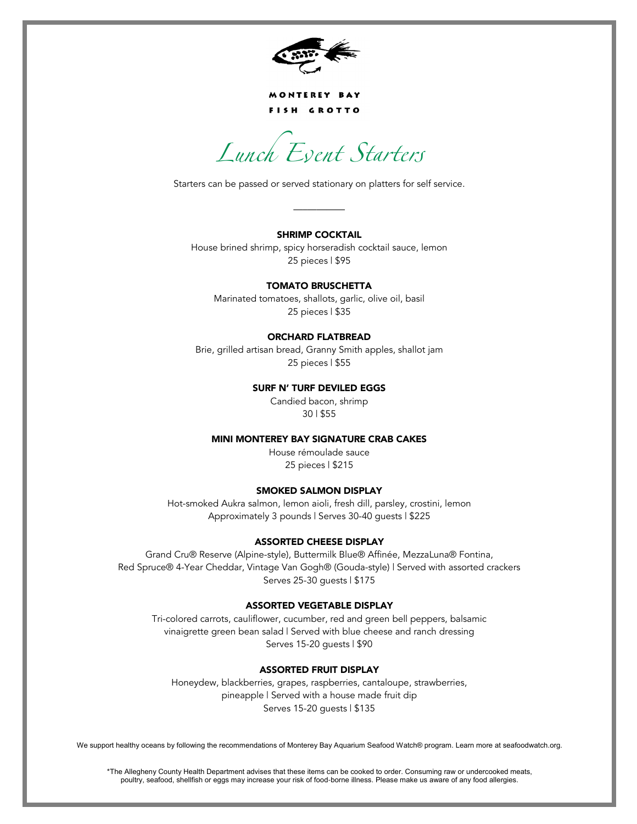

MONTEREY BAY FISH GROTTO

Lunch Event Starters

Starters can be passed or served stationary on platters for self service.

## **SHRIMP COCKTAIL**

—–————

House brined shrimp, spicy horseradish cocktail sauce, lemon 25 pieces | \$95

## **TOMATO BRUSCHETTA**

Marinated tomatoes, shallots, garlic, olive oil, basil 25 pieces | \$35

## **ORCHARD FLATBREAD**

Brie, grilled artisan bread, Granny Smith apples, shallot jam 25 pieces | \$55

## **SURF N' TURF DEVILED EGGS**

Candied bacon, shrimp 30 | \$55

#### **MINI MONTEREY BAY SIGNATURE CRAB CAKES**

House rémoulade sauce 25 pieces | \$215

#### **SMOKED SALMON DISPLAY**

Hot-smoked Aukra salmon, lemon aioli, fresh dill, parsley, crostini, lemon Approximately 3 pounds | Serves 30-40 guests | \$225

#### **ASSORTED CHEESE DISPLAY**

Grand Cru® Reserve (Alpine-style), Buttermilk Blue® Affinée, MezzaLuna® Fontina, Red Spruce® 4-Year Cheddar, Vintage Van Gogh® (Gouda-style) | Served with assorted crackers Serves 25-30 guests | \$175

# **ASSORTED VEGETABLE DISPLAY**

Tri-colored carrots, cauliflower, cucumber, red and green bell peppers, balsamic vinaigrette green bean salad | Served with blue cheese and ranch dressing Serves 15-20 guests | \$90

# **ASSORTED FRUIT DISPLAY**

Honeydew, blackberries, grapes, raspberries, cantaloupe, strawberries, pineapple | Served with a house made fruit dip Serves 15-20 guests | \$135

We support healthy oceans by following the recommendations of Monterey Bay Aquarium Seafood Watch® program. Learn more at seafoodwatch.org.

\*The Allegheny County Health Department advises that these items can be cooked to order. Consuming raw or undercooked meats, poultry, seafood, shellfish or eggs may increase your risk of food-borne illness. Please make us aware of any food allergies.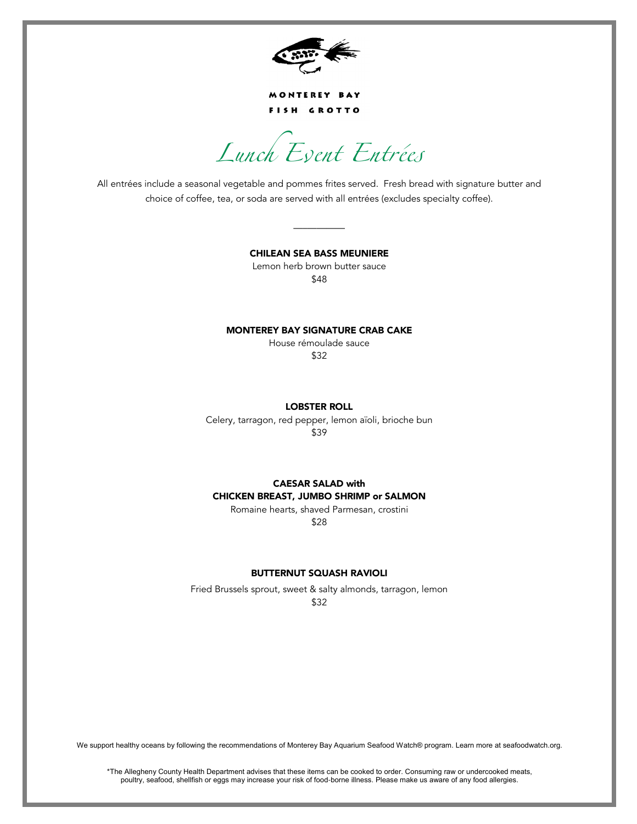

MONTEREY BAY FISH GROTTO

Lunch Event Entrées

All entrées include a seasonal vegetable and pommes frites served. Fresh bread with signature butter and choice of coffee, tea, or soda are served with all entrées (excludes specialty coffee).

> **CHILEAN SEA BASS MEUNIERE**  Lemon herb brown butter sauce \$48

—–————

## **MONTEREY BAY SIGNATURE CRAB CAKE**

House rémoulade sauce \$32

#### **LOBSTER ROLL**

Celery, tarragon, red pepper, lemon aïoli, brioche bun \$39

# **CAESAR SALAD with CHICKEN BREAST, JUMBO SHRIMP or SALMON**

Romaine hearts, shaved Parmesan, crostini \$28

## **BUTTERNUT SQUASH RAVIOLI**

Fried Brussels sprout, sweet & salty almonds, tarragon, lemon \$32

We support healthy oceans by following the recommendations of Monterey Bay Aquarium Seafood Watch® program. Learn more at seafoodwatch.org.

\*The Allegheny County Health Department advises that these items can be cooked to order. Consuming raw or undercooked meats, poultry, seafood, shellfish or eggs may increase your risk of food-borne illness. Please make us aware of any food allergies.